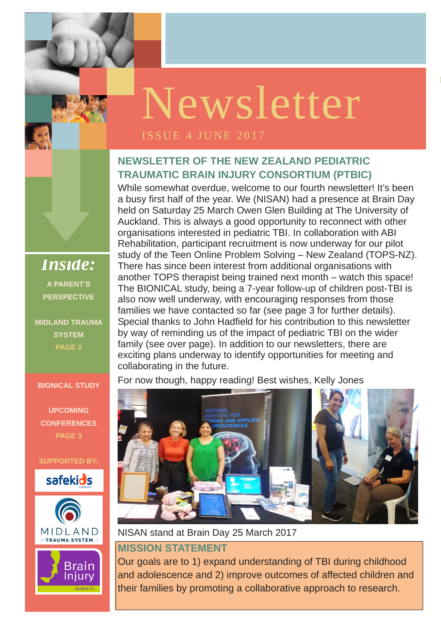

### **NEWSLETTER OF THE NEW ZEALAND PEDIATRIC TRAUMATIC BRAIN INJURY CONSORTIUM (PTBIC)**

While somewhat overdue, welcome to our fourth newsletter! It's been a busy first half of the year. We (NISAN) had a presence at Brain Day held on Saturday 25 March Owen Glen Building at The University of Auckland. This is always a good opportunity to reconnect with other organisations interested in pediatric TBI. In collaboration with ABI Rehabilitation, participant recruitment is now underway for our pilot study of the Teen Online Problem Solving – New Zealand (TOPS-NZ). There has since been interest from additional organisations with another TOPS therapist being trained next month – watch this space! The BIONICAL study, being a 7-year follow-up of children post-TBI is also now well underway, with encouraging responses from those families we have contacted so far (see page 3 for further details). Special thanks to John Hadfield for his contribution to this newsletter by way of reminding us of the impact of pediatric TBI on the wider family (see over page). In addition to our newsletters, there are exciting plans underway to identify opportunities for meeting and collaborating in the future.

For now though, happy reading! Best wishes, Kelly Jones

NISAN stand at Brain Day 25 March 2017

#### **MISSION STATEMENT**

Our goals are to 1) expand understanding of TBI during childhood and adolescence and 2) improve outcomes of affected children and their families by promoting a collaborative approach to research.

*Inside:*  **A PARENT'S PERSPECTIVE** 

**MIDLAND TRAUMA SYSTEM PAGE 2** 

**BIONICAL STUDY** 

**UPCOMING CONFERENCES PAGE 3** 

**SUPPORTED BY:** 





**Brain** Injury

**WAIKAT** 

# Newsletter

#### ISSUE 4 JUNE 2017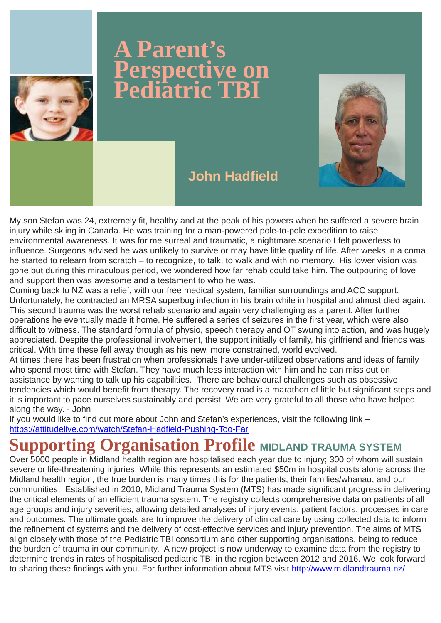My son Stefan was 24, extremely fit, healthy and at the peak of his powers when he suffered a severe brain injury while skiing in Canada. He was training for a man-powered pole-to-pole expedition to raise environmental awareness. It was for me surreal and traumatic, a nightmare scenario I felt powerless to influence. Surgeons advised he was unlikely to survive or may have little quality of life. After weeks in a coma he started to relearn from scratch – to recognize, to talk, to walk and with no memory. His lower vision was gone but during this miraculous period, we wondered how far rehab could take him. The outpouring of love and support then was awesome and a testament to who he was.

Coming back to NZ was a relief, with our free medical system, familiar surroundings and ACC support. Unfortunately, he contracted an MRSA superbug infection in his brain while in hospital and almost died again. This second trauma was the worst rehab scenario and again very challenging as a parent. After further operations he eventually made it home. He suffered a series of seizures in the first year, which were also difficult to witness. The standard formula of physio, speech therapy and OT swung into action, and was hugely appreciated. Despite the professional involvement, the support initially of family, his girlfriend and friends was critical. With time these fell away though as his new, more constrained, world evolved.

Over 5000 people in Midland health region are hospitalised each year due to injury; 300 of whom will sustain severe or life-threatening injuries. While this represents an estimated \$50m in hospital costs alone across the Midland health region, the true burden is many times this for the patients, their families/whanau, and our communities. Established in 2010, Midland Trauma System (MTS) has made significant progress in delivering the critical elements of an efficient trauma system. The registry collects comprehensive data on patients of all age groups and injury severities, allowing detailed analyses of injury events, patient factors, processes in care and outcomes. The ultimate goals are to improve the delivery of clinical care by using collected data to inform the refinement of systems and the delivery of cost-effective services and injury prevention. The aims of MTS align closely with those of the Pediatric TBI consortium and other supporting organisations, being to reduce the burden of trauma in our community. A new project is now underway to examine data from the registry to determine trends in rates of hospitalised pediatric TBI in the region between 2012 and 2016. We look forward to sharing these findings with you. For further information about MTS visit http://www.midlandtrauma.nz/

At times there has been frustration when professionals have under-utilized observations and ideas of family who spend most time with Stefan. They have much less interaction with him and he can miss out on assistance by wanting to talk up his capabilities. There are behavioural challenges such as obsessive tendencies which would benefit from therapy. The recovery road is a marathon of little but significant steps and it is important to pace ourselves sustainably and persist. We are very grateful to all those who have helped along the way. - John

If you would like to find out more about John and Stefan's experiences, visit the following link – https://attitudelive.com/watch/Stefan-Hadfield-Pushing-Too-Far

### **Supporting Organisation Profile MIDLAND TRAUMA SYSTEM**



## **A Parent's Perspective on Pediatric TBI**



### **John Hadfield**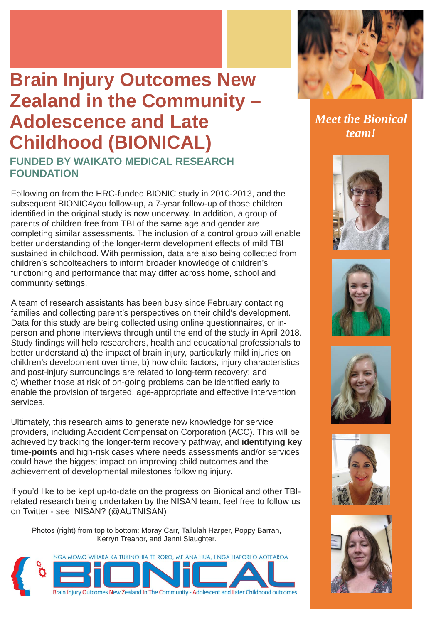Following on from the HRC-funded BIONIC study in 2010-2013, and the subsequent BIONIC4you follow-up, a 7-year follow-up of those children identified in the original study is now underway. In addition, a group of parents of children free from TBI of the same age and gender are completing similar assessments. The inclusion of a control group will enable better understanding of the longer-term development effects of mild TBI sustained in childhood. With permission, data are also being collected from children's schoolteachers to inform broader knowledge of children's functioning and performance that may differ across home, school and community settings.

A team of research assistants has been busy since February contacting families and collecting parent's perspectives on their child's development. Data for this study are being collected using online questionnaires, or inperson and phone interviews through until the end of the study in April 2018. Study findings will help researchers, health and educational professionals to better understand a) the impact of brain injury, particularly mild injuries on children's development over time, b) how child factors, injury characteristics and post-injury surroundings are related to long-term recovery; and c) whether those at risk of on-going problems can be identified early to enable the provision of targeted, age-appropriate and effective intervention services.

Ultimately, this research aims to generate new knowledge for service providers, including Accident Compensation Corporation (ACC). This will be achieved by tracking the longer-term recovery pathway, and **identifying key time-points** and high-risk cases where needs assessments and/or services could have the biggest impact on improving child outcomes and the

achievement of developmental milestones following injury.

If you'd like to be kept up-to-date on the progress on Bionical and other TBIrelated research being undertaken by the NISAN team, feel free to follow us on Twitter - see NISAN? (@AUTNISAN)

Photos (right) from top to bottom: Moray Carr, Tallulah Harper, Poppy Barran, Kerryn Treanor, and Jenni Slaughter.





*Meet the Bionical team!* 









# **Brain Injury Outcomes New Zealand in the Community – Adolescence and Late Childhood (BIONICAL)**

### **FUNDED BY WAIKATO MEDICAL RESEARCH FOUNDATION**